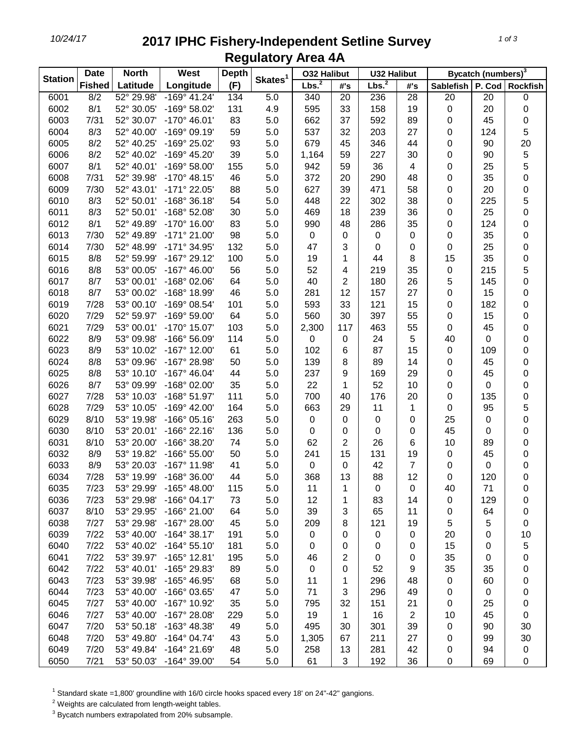## *10/24/17* **2017 IPHC Fishery-Independent Setline Survey Regulatory Area 4A**

| <b>Station</b> | <b>Date</b>   | <b>North</b><br>West<br><b>Depth</b> |                       |     | <b>032 Halibut</b>  |                   | <b>U32 Halibut</b> |                   | Bycatch (numbers) <sup>3</sup> |                  |           |                  |
|----------------|---------------|--------------------------------------|-----------------------|-----|---------------------|-------------------|--------------------|-------------------|--------------------------------|------------------|-----------|------------------|
|                | <b>Fished</b> | Latitude                             | Longitude             | (F) | Skates <sup>1</sup> | Lbs. <sup>2</sup> | #'s                | Lbs. <sup>2</sup> | #'s                            | <b>Sablefish</b> |           | P. Cod Rockfish  |
| 6001           | 8/2           | 52° 29.98'                           | $-169°$ 41.24'        | 134 | 5.0                 | 340               | 20                 | 236               | $\overline{28}$                | 20               | 20        | $\boldsymbol{0}$ |
| 6002           | 8/1           | 52° 30.05'                           | -169° 58.02'          | 131 | 4.9                 | 595               | 33                 | 158               | 19                             | $\pmb{0}$        | 20        | $\pmb{0}$        |
| 6003           | 7/31          | 52° 30.07'                           | $-170^{\circ}$ 46.01' | 83  | 5.0                 | 662               | 37                 | 592               | 89                             | 0                | 45        | 0                |
| 6004           | 8/3           | 52° 40.00'                           | $-169°09.19'$         | 59  | 5.0                 | 537               | 32                 | 203               | 27                             | 0                | 124       | 5                |
| 6005           | 8/2           | 52° 40.25'                           | -169° 25.02'          | 93  | 5.0                 | 679               | 45                 | 346               | 44                             | 0                | 90        | 20               |
| 6006           | 8/2           | 52° 40.02'                           | -169° 45.20'          | 39  | 5.0                 | 1,164             | 59                 | 227               | 30                             | 0                | 90        | $\overline{5}$   |
| 6007           | 8/1           | 52° 40.01'                           | $-169°58.00'$         | 155 | 5.0                 | 942               | 59                 | 36                | $\overline{4}$                 | 0                | 25        | 5                |
| 6008           | 7/31          | 52° 39.98'                           | $-170^{\circ}$ 48.15' | 46  | 5.0                 | 372               | 20                 | 290               | 48                             | 0                | 35        | $\mathbf 0$      |
| 6009           | 7/30          | 52° 43.01'                           | -171° 22.05'          | 88  | 5.0                 | 627               | 39                 | 471               | 58                             | 0                | 20        | $\mathbf 0$      |
| 6010           | 8/3           | 52° 50.01'                           | $-168°36.18'$         | 54  | 5.0                 | 448               | 22                 | 302               | 38                             | 0                | 225       | 5                |
| 6011           | 8/3           | 52° 50.01'                           | -168° 52.08'          | 30  | 5.0                 | 469               | 18                 | 239               | 36                             | 0                | 25        | $\mathbf 0$      |
| 6012           | 8/1           | 52° 49.89'                           | -170° 16.00'          | 83  | 5.0                 | 990               | 48                 | 286               | 35                             | 0                | 124       | $\boldsymbol{0}$ |
| 6013           | 7/30          | 52° 49.89'                           | $-171°$ 21.00'        | 98  | 5.0                 | 0                 | 0                  | 0                 | $\mathbf 0$                    | 0                | 35        | $\pmb{0}$        |
| 6014           | 7/30          | 52° 48.99'                           | -171° 34.95'          | 132 | 5.0                 | 47                | 3                  | 0                 | 0                              | 0                | 25        | $\pmb{0}$        |
| 6015           | 8/8           | 52° 59.99'                           | $-167^{\circ}$ 29.12' | 100 | 5.0                 | 19                | 1                  | 44                | 8                              | 15               | 35        | 0                |
| 6016           | 8/8           | 53° 00.05'                           | $-167^{\circ}$ 46.00  | 56  | 5.0                 | 52                | 4                  | 219               | 35                             | 0                | 215       | 5                |
| 6017           | 8/7           | 53° 00.01'                           | $-168^{\circ}$ 02.06' | 64  | 5.0                 | 40                | 2                  | 180               | 26                             | 5                | 145       | $\mathbf 0$      |
| 6018           | 8/7           | 53° 00.02'                           | -168° 18.99'          | 46  | 5.0                 | 281               | 12                 | 157               | 27                             | 0                | 15        | 0                |
| 6019           | 7/28          | 53° 00.10'                           | -169° 08.54'          | 101 | 5.0                 | 593               | 33                 | 121               | 15                             | 0                | 182       | 0                |
| 6020           | 7/29          | 52° 59.97'                           | -169° 59.00'          | 64  | 5.0                 | 560               | 30                 | 397               | 55                             | 0                | 15        | 0                |
| 6021           | 7/29          | 53° 00.01'                           | -170° 15.07'          | 103 | 5.0                 | 2,300             | 117                | 463               | 55                             | 0                | 45        | $\pmb{0}$        |
| 6022           | 8/9           | 53° 09.98'                           | -166° 56.09'          | 114 | 5.0                 | 0                 | 0                  | 24                | 5                              | 40               | 0         | $\pmb{0}$        |
| 6023           | 8/9           | 53° 10.02'                           | $-167^\circ$ 12.00    | 61  | 5.0                 | 102               | 6                  | 87                | 15                             | 0                | 109       | 0                |
| 6024           | 8/8           | 53° 09.96'                           | -167° 28.98'          | 50  | 5.0                 | 139               | 8                  | 89                | 14                             | 0                | 45        | 0                |
| 6025           | 8/8           | 53° 10.10'                           | $-167^{\circ}$ 46.04' | 44  | 5.0                 | 237               | 9                  | 169               | 29                             | 0                | 45        | 0                |
| 6026           | 8/7           | 53° 09.99'                           | -168° 02.00'          | 35  | 5.0                 | 22                | 1                  | 52                | 10                             | 0                | 0         | $\mathbf 0$      |
| 6027           | 7/28          | 53° 10.03'                           | -168° 51.97'          | 111 | 5.0                 | 700               | 40                 | 176               | 20                             | 0                | 135       | $\mathbf 0$      |
| 6028           | 7/29          | 53° 10.05'                           | -169° 42.00'          | 164 | 5.0                 | 663               | 29                 | 11                | 1                              | 0                | 95        | 5                |
| 6029           | 8/10          | 53° 19.98'                           | $-166°05.16'$         | 263 | 5.0                 | 0                 | 0                  | 0                 | $\mathbf 0$                    | 25               | 0         | $\mathbf 0$      |
| 6030           | 8/10          | 53° 20.01'                           | $-166°$ 22.16'        | 136 | 5.0                 | 0                 | 0                  | 0                 | 0                              | 45               | 0         | $\pmb{0}$        |
| 6031           | 8/10          | 53° 20.00'                           | -166° 38.20'          | 74  | 5.0                 | 62                | $\overline{2}$     | 26                | 6                              | 10               | 89        | 0                |
| 6032           | 8/9           | 53° 19.82'                           | $-166°55.00'$         | 50  | 5.0                 | 241               | 15                 | 131               | 19                             | 0                | 45        | 0                |
| 6033           | 8/9           | 53° 20.03'                           | -167° 11.98'          | 41  | 5.0                 | 0                 | 0                  | 42                | 7                              | 0                | 0         | 0                |
| 6034           | 7/28          | 53° 19.99'                           | $-168°36.00'$         | 44  | 5.0                 | 368               | 13                 | 88                | 12                             | 0                | 120       | $\pmb{0}$        |
| 6035           | 7/23          | 53° 29.99'                           | $-165^{\circ}$ 48.00  | 115 | 5.0                 | 11                | 1                  | 0                 | 0                              | 40               | 71        | 0                |
| 6036           | 7/23          | 53° 29.98'                           | $-166°04.17'$         | 73  | 5.0                 | 12                | 1                  | 83                | 14                             | 0                | 129       | 0                |
| 6037           | 8/10          | 53° 29.95'                           | -166° 21.00'          | 64  | 5.0                 | 39                | 3                  | 65                | 11                             | 0                | 64        | 0                |
| 6038           | 7/27          | 53° 29.98'                           | $-167^{\circ}$ 28.00  | 45  | 5.0                 | 209               | 8                  | 121               | 19                             | 5                | 5         | 0                |
| 6039           | $7/22$        | 53° 40.00'                           | $-164^{\circ}$ 38.17' | 191 | 5.0                 | 0                 | 0                  | 0                 | $\mathbf 0$                    | 20               | 0         | 10               |
| 6040           | $7/22$        | 53° 40.02'                           | $-164^{\circ} 55.10'$ | 181 | 5.0                 | 0                 | 0                  | 0                 | 0                              | 15               | 0         | 5                |
| 6041           | 7/22          | 53° 39.97'                           | $-165^{\circ}$ 12.81' | 195 | 5.0                 | 46                | $\overline{2}$     | 0                 | 0                              | 35               | 0         | 0                |
| 6042           | 7/22          | 53° 40.01'                           | -165° 29.83'          | 89  | 5.0                 | 0                 | 0                  | 52                | 9                              | 35               | 35        | 0                |
| 6043           | 7/23          | 53° 39.98'                           | -165° 46.95'          | 68  | 5.0                 | 11                | 1                  | 296               | 48                             | $\pmb{0}$        | 60        | 0                |
| 6044           | 7/23          | 53° 40.00'                           | -166° 03.65'          | 47  | 5.0                 | 71                | 3                  | 296               | 49                             | 0                | $\pmb{0}$ | 0                |
| 6045           | 7/27          | 53° 40.00'                           | -167° 10.92'          | 35  | 5.0                 | 795               | 32                 | 151               | 21                             | 0                | 25        | 0                |
| 6046           | 7/27          | 53° 40.00'                           | $-167^{\circ}$ 28.08' | 229 | 5.0                 | 19                | 1                  | 16                | 2                              | 10               | 45        | $\boldsymbol{0}$ |
| 6047           | 7/20          | 53° 50.18'                           | -163° 48.38'          | 49  | 5.0                 | 495               | 30                 | 301               | 39                             | 0                | 90        | 30               |
| 6048           | 7/20          | 53° 49.80'                           | $-164^{\circ}$ 04.74' | 43  | 5.0                 | 1,305             | 67                 | 211               | 27                             | 0                | 99        | 30               |
| 6049           | 7/20          | 53° 49.84'                           | $-164^{\circ}$ 21.69' | 48  | 5.0                 | 258               | 13                 | 281               | 42                             | 0                | 94        | $\pmb{0}$        |
| 6050           | 7/21          | 53° 50.03'                           | -164° 39.00'          | 54  | 5.0                 | 61                | 3                  | 192               | 36                             | 0                | 69        | $\boldsymbol{0}$ |

<sup>1</sup> Standard skate =1,800' groundline with 16/0 circle hooks spaced every 18' on 24"-42" gangions.

Weights are calculated from length-weight tables.

Bycatch numbers extrapolated from 20% subsample.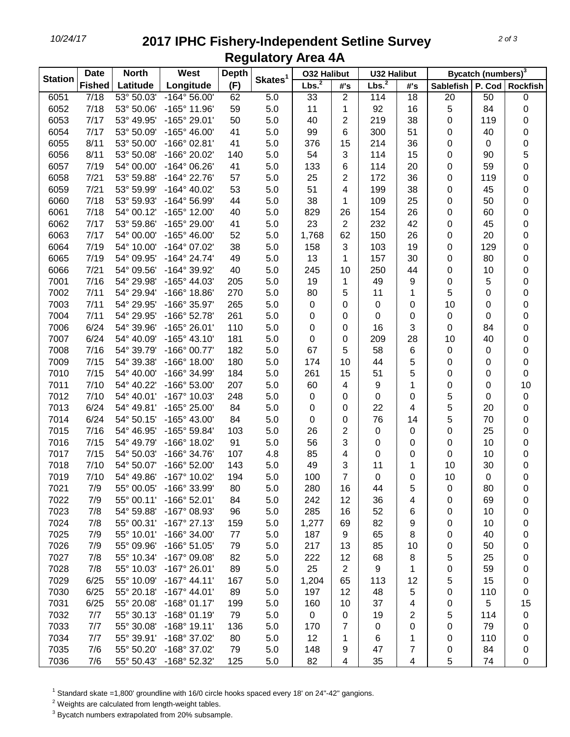## *10/24/17* **2017 IPHC Fishery-Independent Setline Survey Regulatory Area 4A**

| <b>Station</b> | <b>Date</b>   | <b>North</b> | West                  | <b>Depth</b> |                     | <b>032 Halibut</b> |                | <b>U32 Halibut</b> |     | Bycatch (numbers) <sup>3</sup> |     |                   |
|----------------|---------------|--------------|-----------------------|--------------|---------------------|--------------------|----------------|--------------------|-----|--------------------------------|-----|-------------------|
|                | <b>Fished</b> | Latitude     | Longitude             | (F)          | Skates <sup>1</sup> | Lbs. <sup>2</sup>  | #'s            | Lbs. <sup>2</sup>  | #'s | Sablefish                      |     | P. Cod   Rockfish |
| 6051           | $\sqrt{7/18}$ | 53° 50.03'   | $-164^{\circ} 56.00'$ | 62           | 5.0                 | 33                 | 2              | 114                | 18  | 20                             | 50  | $\boldsymbol{0}$  |
| 6052           | 7/18          | 53° 50.06'   | $-165^{\circ}$ 11.96' | 59           | 5.0                 | 11                 | 1              | 92                 | 16  | 5                              | 84  | $\pmb{0}$         |
| 6053           | 7/17          | 53° 49.95'   | -165° 29.01'          | 50           | 5.0                 | 40                 | 2              | 219                | 38  | 0                              | 119 | $\boldsymbol{0}$  |
| 6054           | 7/17          | 53° 50.09'   | $-165^{\circ}$ 46.00  | 41           | 5.0                 | 99                 | 6              | 300                | 51  | 0                              | 40  | 0                 |
| 6055           | 8/11          | 53° 50.00'   | $-166°02.81'$         | 41           | 5.0                 | 376                | 15             | 214                | 36  | 0                              | 0   | $\pmb{0}$         |
| 6056           | 8/11          | 53° 50.08'   | -166° 20.02'          | 140          | 5.0                 | 54                 | 3              | 114                | 15  | 0                              | 90  | 5                 |
| 6057           | 7/19          | 54° 00.00'   | $-164^{\circ}$ 06.26' | 41           | 5.0                 | 133                | 6              | 114                | 20  | 0                              | 59  | $\mathbf 0$       |
| 6058           | 7/21          | 53° 59.88'   | -164° 22.76'          | 57           | 5.0                 | 25                 | 2              | 172                | 36  | 0                              | 119 | $\boldsymbol{0}$  |
| 6059           | 7/21          | 53° 59.99'   | $-164^{\circ}$ 40.02' | 53           | 5.0                 | 51                 | 4              | 199                | 38  | 0                              | 45  | $\boldsymbol{0}$  |
| 6060           | 7/18          | 53° 59.93'   | -164° 56.99'          | 44           | 5.0                 | 38                 | 1              | 109                | 25  | 0                              | 50  | $\boldsymbol{0}$  |
| 6061           | 7/18          | 54° 00.12'   | -165° 12.00'          | 40           | 5.0                 | 829                | 26             | 154                | 26  | 0                              | 60  | 0                 |
| 6062           | 7/17          | 53° 59.86'   | -165° 29.00'          | 41           | 5.0                 | 23                 | $\overline{2}$ | 232                | 42  | 0                              | 45  | $\boldsymbol{0}$  |
| 6063           | 7/17          | 54° 00.00'   | $-165^{\circ}$ 46.00  | 52           | 5.0                 | 1,768              | 62             | 150                | 26  | 0                              | 20  | $\boldsymbol{0}$  |
| 6064           | 7/19          | 54° 10.00'   | -164° 07.02'          | 38           | 5.0                 | 158                | 3              | 103                | 19  | 0                              | 129 | $\boldsymbol{0}$  |
| 6065           | 7/19          | 54° 09.95'   | $-164^{\circ}$ 24.74' | 49           | 5.0                 | 13                 | 1              | 157                | 30  | 0                              | 80  | $\boldsymbol{0}$  |
| 6066           | 7/21          | 54° 09.56'   | -164° 39.92'          | 40           | 5.0                 | 245                | 10             | 250                | 44  | 0                              | 10  | 0                 |
| 7001           | 7/16          | 54° 29.98'   | $-165^{\circ}$ 44.03' | 205          | 5.0                 | 19                 | 1              | 49                 | 9   | 0                              | 5   | $\pmb{0}$         |
| 7002           | 7/11          | 54° 29.94'   | $-166°$ 18.86'        | 270          | 5.0                 | 80                 | 5              | 11                 | 1   | 5                              | 0   | 0                 |
| 7003           | 7/11          | 54° 29.95'   | -166° 35.97'          | 265          | 5.0                 | 0                  | 0              | 0                  | 0   | 10                             | 0   | 0                 |
| 7004           | 7/11          | 54° 29.95'   | -166° 52.78'          | 261          | 5.0                 | 0                  | 0              | 0                  | 0   | 0                              | 0   | 0                 |
| 7006           | 6/24          | 54° 39.96'   | -165° 26.01'          | 110          | 5.0                 | 0                  | 0              | 16                 | 3   | 0                              | 84  | $\mathbf 0$       |
| 7007           | 6/24          | 54° 40.09'   | $-165^{\circ}$ 43.10  | 181          | 5.0                 | 0                  | 0              | 209                | 28  | 10                             | 40  | 0                 |
| 7008           | 7/16          | 54° 39.79'   | -166° 00.77'          | 182          | 5.0                 | 67                 | 5              | 58                 | 6   | $\pmb{0}$                      | 0   | $\boldsymbol{0}$  |
| 7009           | 7/15          | 54° 39.38'   | $-166^\circ$ 18.00    | 180          | 5.0                 | 174                | 10             | 44                 | 5   | 0                              | 0   | $\boldsymbol{0}$  |
| 7010           | 7/15          | 54° 40.00'   | -166° 34.99'          | 184          | 5.0                 | 261                | 15             | 51                 | 5   | 0                              | 0   | $\boldsymbol{0}$  |
| 7011           | 7/10          | 54° 40.22'   | -166° 53.00'          | 207          | 5.0                 | 60                 | 4              | 9                  | 1   | 0                              | 0   | 10                |
| 7012           | 7/10          | 54° 40.01'   | -167° 10.03'          | 248          | 5.0                 | 0                  | 0              | 0                  | 0   | 5                              | 0   | $\pmb{0}$         |
| 7013           | 6/24          | 54° 49.81'   | -165° 25.00'          | 84           | 5.0                 | 0                  | 0              | 22                 | 4   | 5                              | 20  | $\boldsymbol{0}$  |
| 7014           | 6/24          | 54° 50.15'   | -165° 43.00'          | 84           | 5.0                 | 0                  | 0              | 76                 | 14  | 5                              | 70  | $\boldsymbol{0}$  |
| 7015           | 7/16          | 54° 46.95'   | -165° 59.84'          | 103          | 5.0                 | 26                 | $\overline{c}$ | 0                  | 0   | 0                              | 25  | $\pmb{0}$         |
| 7016           | 7/15          | 54° 49.79'   | $-166^{\circ}$ 18.02' | 91           | 5.0                 | 56                 | 3              | 0                  | 0   | 0                              | 10  | $\pmb{0}$         |
| 7017           | 7/15          | 54° 50.03'   | -166° 34.76'          | 107          | 4.8                 | 85                 | 4              | 0                  | 0   | 0                              | 10  | $\boldsymbol{0}$  |
| 7018           | 7/10          | 54° 50.07'   | -166° 52.00'          | 143          | 5.0                 | 49                 | 3              | 11                 | 1   | 10                             | 30  | $\pmb{0}$         |
| 7019           | 7/10          | 54° 49.86'   | -167° 10.02'          | 194          | 5.0                 | 100                | $\overline{7}$ | 0                  | 0   | 10                             | 0   | $\mathbf 0$       |
| 7021           | 7/9           | 55° 00.05'   | -166° 33.99'          | 80           | 5.0                 | 280                | 16             | 44                 | 5   | 0                              | 80  | 0                 |
| 7022           | 7/9           | 55° 00.11'   | -166° 52.01'          | 84           | 5.0                 | 242                | 12             | 36                 | 4   | 0                              | 69  | 0                 |
| 7023           | 7/8           | 54° 59.88'   | -167° 08.93'          | 96           | 5.0                 | 285                | 16             | 52                 | 6   | 0                              | 10  | 0                 |
| 7024           | 7/8           | 55° 00.31'   | $-167^{\circ}$ 27.13' | 159          | 5.0                 | 1,277              | 69             | 82                 | 9   | 0                              | 10  | 0                 |
| 7025           | 7/9           | 55° 10.01'   | -166° 34.00'          | 77           | 5.0                 | 187                | 9              | 65                 | 8   | 0                              | 40  | 0                 |
| 7026           | 7/9           | 55° 09.96'   | $-166°51.05'$         | 79           | 5.0                 | 217                | 13             | 85                 | 10  | 0                              | 50  | 0                 |
| 7027           | 7/8           | 55° 10.34'   | -167° 09.08'          | 82           | 5.0                 | 222                | 12             | 68                 | 8   | 5                              | 25  | 0                 |
| 7028           | 7/8           | 55° 10.03'   | $-167^{\circ}$ 26.01' | 89           | 5.0                 | 25                 | $\overline{2}$ | 9                  | 1   | 0                              | 59  | 0                 |
| 7029           | 6/25          | 55° 10.09'   | $-167^{\circ}$ 44.11' | 167          | 5.0                 | 1,204              | 65             | 113                | 12  | 5                              | 15  | 0                 |
| 7030           | 6/25          | 55° 20.18'   | $-167^{\circ}$ 44.01' | 89           | 5.0                 | 197                | 12             | 48                 | 5   | 0                              | 110 | 0                 |
| 7031           | 6/25          | 55° 20.08'   | $-168°01.17'$         | 199          | 5.0                 | 160                | 10             | 37                 | 4   | 0                              | 5   | 15                |
| 7032           | 7/7           | 55° 30.13'   | $-168°01.19'$         | 79           | 5.0                 | 0                  | 0              | 19                 | 2   | 5                              | 114 | $\pmb{0}$         |
| 7033           | 7/7           | 55° 30.08'   | $-168°$ 19.11'        | 136          | 5.0                 | 170                | 7              | 0                  | 0   | 0                              | 79  | 0                 |
| 7034           | 7/7           | 55° 39.91'   | -168° 37.02'          | 80           | 5.0                 | 12                 | 1              | 6                  | 1   | 0                              | 110 | 0                 |
| 7035           | 7/6           | 55° 50.20'   | -168° 37.02'          | 79           | 5.0                 | 148                | 9              | 47                 | 7   | 0                              | 84  | 0                 |
| 7036           | 7/6           | 55° 50.43'   | $-168^{\circ}$ 52.32' | 125          | 5.0                 | 82                 | 4              | 35                 | 4   | 5                              | 74  | $\boldsymbol{0}$  |

<sup>1</sup> Standard skate =1,800' groundline with 16/0 circle hooks spaced every 18' on 24"-42" gangions.

Weights are calculated from length-weight tables.

Bycatch numbers extrapolated from 20% subsample.